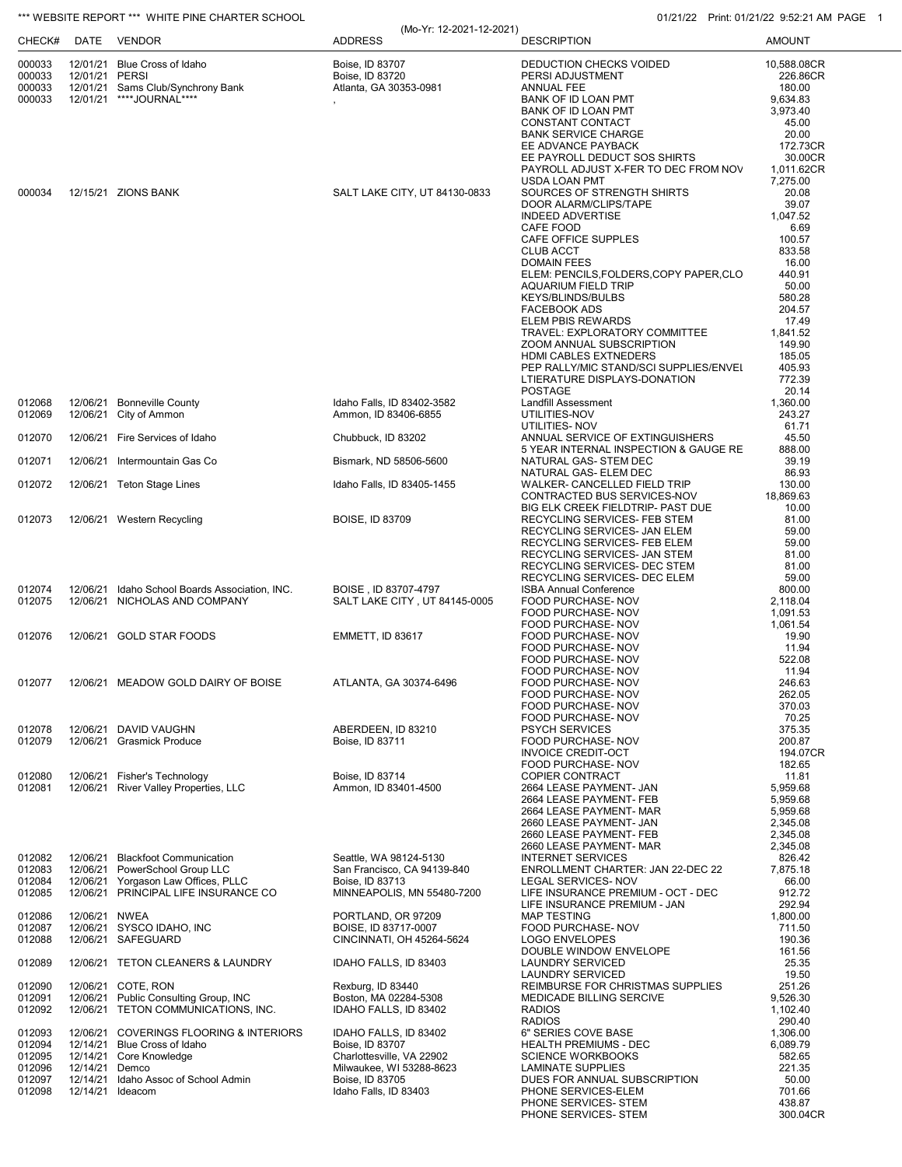## \*\*\* WEBSITE REPORT \*\*\* WHITE PINE CHARTER SCHOOL **CHARTER SCHOOL** 01/21/22 Print: 01/21/22 9:52:21 AM PAGE 1

| CHECK#           |                | DATE VENDOR                                                                 | (Mo-Yr: 12-2021-12-2021)<br><b>ADDRESS</b>        | <b>DESCRIPTION</b>                                                     | <b>AMOUNT</b>         |
|------------------|----------------|-----------------------------------------------------------------------------|---------------------------------------------------|------------------------------------------------------------------------|-----------------------|
| 000033           |                | 12/01/21 Blue Cross of Idaho                                                | Boise, ID 83707                                   | DEDUCTION CHECKS VOIDED                                                | 10,588.08CR           |
| 000033<br>000033 | 12/01/21 PERSI | 12/01/21 Sams Club/Synchrony Bank                                           | Boise, ID 83720<br>Atlanta, GA 30353-0981         | PERSI ADJUSTMENT<br>ANNUAL FEE                                         | 226.86CR<br>180.00    |
| 000033           |                | 12/01/21 ****JOURNAL****                                                    |                                                   | BANK OF ID LOAN PMT                                                    | 9,634.83              |
|                  |                |                                                                             |                                                   | BANK OF ID LOAN PMT<br>CONSTANT CONTACT                                | 3,973.40<br>45.00     |
|                  |                |                                                                             |                                                   | <b>BANK SERVICE CHARGE</b>                                             | 20.00                 |
|                  |                |                                                                             |                                                   | EE ADVANCE PAYBACK                                                     | 172.73CR              |
|                  |                |                                                                             |                                                   | EE PAYROLL DEDUCT SOS SHIRTS<br>PAYROLL ADJUST X-FER TO DEC FROM NOV   | 30.00CR<br>1,011.62CR |
|                  |                |                                                                             |                                                   | USDA LOAN PMT                                                          | 7,275.00              |
| 000034           |                | 12/15/21 ZIONS BANK                                                         | SALT LAKE CITY, UT 84130-0833                     | SOURCES OF STRENGTH SHIRTS<br>DOOR ALARM/CLIPS/TAPE                    | 20.08<br>39.07        |
|                  |                |                                                                             |                                                   | <b>INDEED ADVERTISE</b>                                                | 1,047.52              |
|                  |                |                                                                             |                                                   | CAFE FOOD                                                              | 6.69                  |
|                  |                |                                                                             |                                                   | CAFE OFFICE SUPPLES<br><b>CLUB ACCT</b>                                | 100.57<br>833.58      |
|                  |                |                                                                             |                                                   | <b>DOMAIN FEES</b>                                                     | 16.00                 |
|                  |                |                                                                             |                                                   | ELEM: PENCILS, FOLDERS, COPY PAPER, CLO                                | 440.91                |
|                  |                |                                                                             |                                                   | <b>AQUARIUM FIELD TRIP</b><br>KEYS/BLINDS/BULBS                        | 50.00<br>580.28       |
|                  |                |                                                                             |                                                   | <b>FACEBOOK ADS</b>                                                    | 204.57                |
|                  |                |                                                                             |                                                   | <b>ELEM PBIS REWARDS</b><br>TRAVEL: EXPLORATORY COMMITTEE              | 17.49<br>1,841.52     |
|                  |                |                                                                             |                                                   | ZOOM ANNUAL SUBSCRIPTION                                               | 149.90                |
|                  |                |                                                                             |                                                   | HDMI CABLES EXTNEDERS                                                  | 185.05                |
|                  |                |                                                                             |                                                   | PEP RALLY/MIC STAND/SCI SUPPLIES/ENVEL<br>LTIERATURE DISPLAYS-DONATION | 405.93<br>772.39      |
|                  |                |                                                                             |                                                   | <b>POSTAGE</b>                                                         | 20.14                 |
| 012068           |                | 12/06/21 Bonneville County                                                  | Idaho Falls, ID 83402-3582                        | <b>Landfill Assessment</b>                                             | 1,360.00              |
| 012069           |                | 12/06/21 City of Ammon                                                      | Ammon, ID 83406-6855                              | UTILITIES-NOV<br>UTILITIES- NOV                                        | 243.27<br>61.71       |
| 012070           |                | 12/06/21 Fire Services of Idaho                                             | Chubbuck, ID 83202                                | ANNUAL SERVICE OF EXTINGUISHERS                                        | 45.50                 |
|                  |                | 12/06/21 Intermountain Gas Co                                               |                                                   | 5 YEAR INTERNAL INSPECTION & GAUGE RE                                  | 888.00<br>39.19       |
| 012071           |                |                                                                             | Bismark, ND 58506-5600                            | NATURAL GAS- STEM DEC<br>NATURAL GAS- ELEM DEC                         | 86.93                 |
| 012072           |                | 12/06/21 Teton Stage Lines                                                  | Idaho Falls, ID 83405-1455                        | WALKER- CANCELLED FIELD TRIP                                           | 130.00                |
|                  |                |                                                                             |                                                   | CONTRACTED BUS SERVICES-NOV<br>BIG ELK CREEK FIELDTRIP- PAST DUE       | 18,869.63<br>10.00    |
| 012073           |                | 12/06/21 Western Recycling                                                  | <b>BOISE, ID 83709</b>                            | RECYCLING SERVICES- FEB STEM                                           | 81.00                 |
|                  |                |                                                                             |                                                   | RECYCLING SERVICES- JAN ELEM                                           | 59.00                 |
|                  |                |                                                                             |                                                   | RECYCLING SERVICES- FEB ELEM<br>RECYCLING SERVICES- JAN STEM           | 59.00<br>81.00        |
|                  |                |                                                                             |                                                   | RECYCLING SERVICES- DEC STEM                                           | 81.00                 |
| 012074           |                | 12/06/21 Idaho School Boards Association, INC.                              | BOISE, ID 83707-4797                              | RECYCLING SERVICES- DEC ELEM<br><b>ISBA Annual Conference</b>          | 59.00<br>800.00       |
| 012075           |                | 12/06/21 NICHOLAS AND COMPANY                                               | SALT LAKE CITY, UT 84145-0005                     | FOOD PURCHASE- NOV                                                     | 2,118.04              |
|                  |                |                                                                             |                                                   | FOOD PURCHASE- NOV                                                     | 1,091.53              |
| 012076           |                | 12/06/21 GOLD STAR FOODS                                                    | <b>EMMETT, ID 83617</b>                           | FOOD PURCHASE- NOV<br>FOOD PURCHASE- NOV                               | 1.061.54<br>19.90     |
|                  |                |                                                                             |                                                   | FOOD PURCHASE- NOV                                                     | 11.94                 |
|                  |                |                                                                             |                                                   | <b>FOOD PURCHASE- NOV</b><br>FOOD PURCHASE- NOV                        | 522.08<br>11.94       |
| 012077           |                | 12/06/21 MEADOW GOLD DAIRY OF BOISE                                         | ATLANTA, GA 30374-6496                            | FOOD PURCHASE- NOV                                                     | 246.63                |
|                  |                |                                                                             |                                                   | FOOD PURCHASE- NOV                                                     | 262.05                |
|                  |                |                                                                             |                                                   | FOOD PURCHASE- NOV<br>FOOD PURCHASE- NOV                               | 370.03<br>70.25       |
| 012078           |                | 12/06/21 DAVID VAUGHN                                                       | ABERDEEN, ID 83210                                | <b>PSYCH SERVICES</b>                                                  | 375.35                |
| 012079           |                | 12/06/21 Grasmick Produce                                                   | Boise, ID 83711                                   | FOOD PURCHASE- NOV                                                     | 200.87                |
|                  |                |                                                                             |                                                   | <b>INVOICE CREDIT-OCT</b><br>FOOD PURCHASE- NOV                        | 194.07CR<br>182.65    |
| 012080           |                | 12/06/21 Fisher's Technology                                                | Boise, ID 83714                                   | <b>COPIER CONTRACT</b>                                                 | 11.81                 |
| 012081           |                | 12/06/21 River Valley Properties, LLC                                       | Ammon, ID 83401-4500                              | 2664 LEASE PAYMENT- JAN                                                | 5,959.68              |
|                  |                |                                                                             |                                                   | 2664 LEASE PAYMENT- FEB<br>2664 LEASE PAYMENT- MAR                     | 5,959.68<br>5,959.68  |
|                  |                |                                                                             |                                                   | 2660 LEASE PAYMENT- JAN                                                | 2,345.08              |
|                  |                |                                                                             |                                                   | 2660 LEASE PAYMENT- FEB<br>2660 LEASE PAYMENT- MAR                     | 2,345.08<br>2,345.08  |
| 012082           |                | 12/06/21 Blackfoot Communication                                            | Seattle, WA 98124-5130                            | <b>INTERNET SERVICES</b>                                               | 826.42                |
| 012083           |                | 12/06/21 PowerSchool Group LLC                                              | San Francisco, CA 94139-840                       | ENROLLMENT CHARTER: JAN 22-DEC 22                                      | 7,875.18              |
| 012084<br>012085 |                | 12/06/21 Yorgason Law Offices, PLLC<br>12/06/21 PRINCIPAL LIFE INSURANCE CO | Boise, ID 83713<br>MINNEAPOLIS, MN 55480-7200     | LEGAL SERVICES- NOV<br>LIFE INSURANCE PREMIUM - OCT - DEC              | 66.00<br>912.72       |
|                  |                |                                                                             |                                                   | LIFE INSURANCE PREMIUM - JAN                                           | 292.94                |
| 012086           | 12/06/21 NWEA  |                                                                             | PORTLAND, OR 97209                                | <b>MAP TESTING</b>                                                     | 1,800.00              |
| 012087<br>012088 |                | 12/06/21 SYSCO IDAHO, INC<br>12/06/21 SAFEGUARD                             | BOISE, ID 83717-0007<br>CINCINNATI, OH 45264-5624 | FOOD PURCHASE- NOV<br><b>LOGO ENVELOPES</b>                            | 711.50<br>190.36      |
|                  |                |                                                                             |                                                   | DOUBLE WINDOW ENVELOPE                                                 | 161.56                |
| 012089           |                | 12/06/21 TETON CLEANERS & LAUNDRY                                           | IDAHO FALLS, ID 83403                             | <b>LAUNDRY SERVICED</b>                                                | 25.35                 |
| 012090           |                | 12/06/21 COTE, RON                                                          | Rexburg, ID 83440                                 | LAUNDRY SERVICED<br>REIMBURSE FOR CHRISTMAS SUPPLIES                   | 19.50<br>251.26       |
| 012091           |                | 12/06/21 Public Consulting Group, INC                                       | Boston, MA 02284-5308                             | MEDICADE BILLING SERCIVE                                               | 9,526.30              |
| 012092           |                | 12/06/21 TETON COMMUNICATIONS, INC.                                         | IDAHO FALLS, ID 83402                             | <b>RADIOS</b>                                                          | 1,102.40              |
| 012093           |                | 12/06/21 COVERINGS FLOORING & INTERIORS                                     | IDAHO FALLS, ID 83402                             | <b>RADIOS</b><br>6" SERIES COVE BASE                                   | 290.40<br>1,306.00    |
| 012094           |                | 12/14/21 Blue Cross of Idaho                                                | Boise, ID 83707                                   | <b>HEALTH PREMIUMS - DEC</b>                                           | 6,089.79              |
| 012095           |                | 12/14/21 Core Knowledge                                                     | Charlottesville, VA 22902                         | <b>SCIENCE WORKBOOKS</b>                                               | 582.65                |
| 012096<br>012097 | 12/14/21 Demco | 12/14/21 Idaho Assoc of School Admin                                        | Milwaukee, WI 53288-8623<br>Boise, ID 83705       | <b>LAMINATE SUPPLIES</b><br>DUES FOR ANNUAL SUBSCRIPTION               | 221.35<br>50.00       |
| 012098           |                | 12/14/21 Ideacom                                                            | Idaho Falls, ID 83403                             | PHONE SERVICES-ELEM                                                    | 701.66                |
|                  |                |                                                                             |                                                   | PHONE SERVICES- STEM                                                   | 438.87<br>300.04CR    |
|                  |                |                                                                             |                                                   | PHONE SERVICES- STEM                                                   |                       |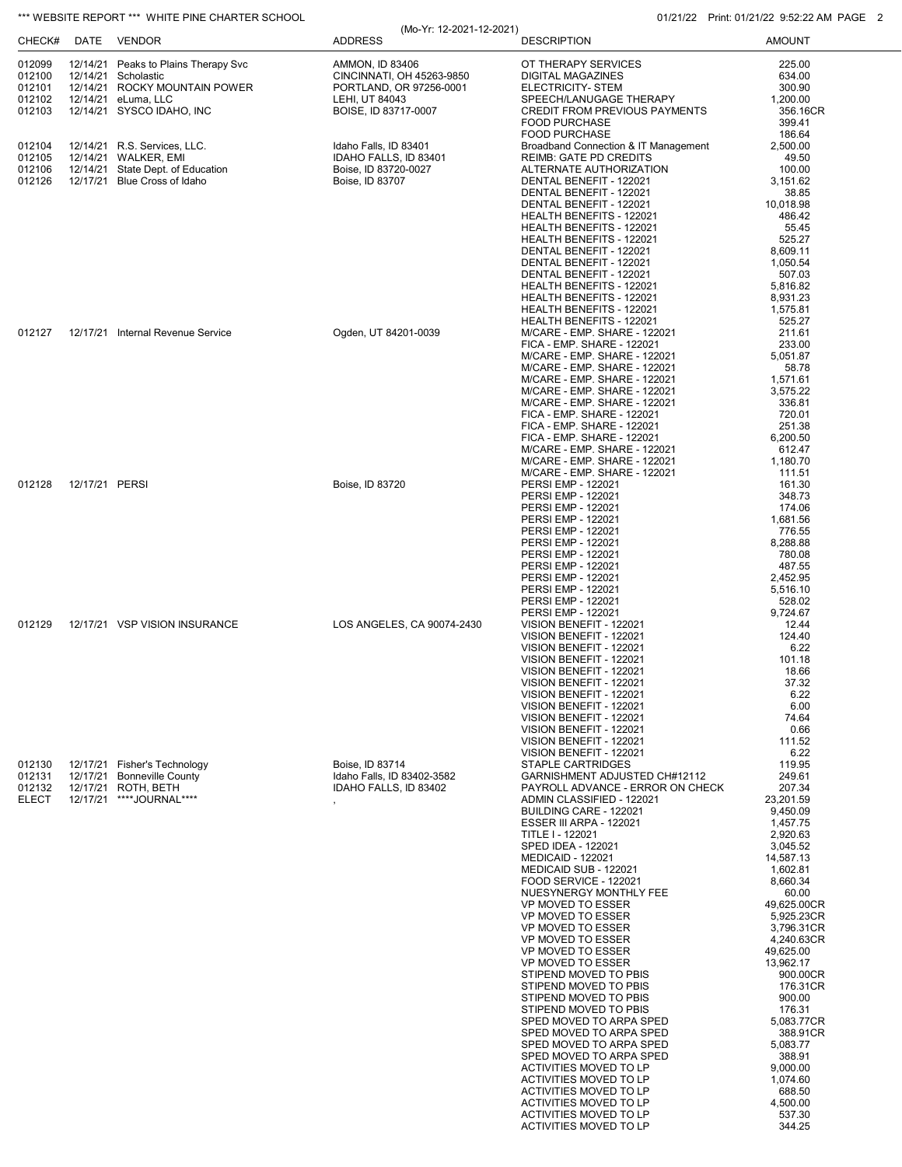## \*\*\* WEBSITE REPORT \*\*\* WHITE PINE CHARTER SCHOOL **CHARTER SCHOOL** 01/21/22 Print: 01/21/22 9:52:22 AM PAGE 2

|              |                |                                      | (Mo-Yr: 12-2021-12-2021)   |                                                            | $1.1111111. 0.17211722. 0.02122271181. 1.7$ |
|--------------|----------------|--------------------------------------|----------------------------|------------------------------------------------------------|---------------------------------------------|
| CHECK#       |                | DATE VENDOR                          | <b>ADDRESS</b>             | <b>DESCRIPTION</b>                                         | <b>AMOUNT</b>                               |
| 012099       |                | 12/14/21 Peaks to Plains Therapy Svc | <b>AMMON, ID 83406</b>     | OT THERAPY SERVICES                                        | 225.00                                      |
| 012100       |                | 12/14/21 Scholastic                  | CINCINNATI, OH 45263-9850  | DIGITAL MAGAZINES                                          | 634.00                                      |
| 012101       |                | 12/14/21 ROCKY MOUNTAIN POWER        | PORTLAND, OR 97256-0001    | ELECTRICITY- STEM                                          | 300.90                                      |
| 012102       |                | 12/14/21 eLuma, LLC                  | LEHI, UT 84043             | SPEECH/LANUGAGE THERAPY                                    | 1,200.00                                    |
| 012103       |                | 12/14/21 SYSCO IDAHO, INC            | BOISE, ID 83717-0007       | <b>CREDIT FROM PREVIOUS PAYMENTS</b>                       | 356.16CR                                    |
|              |                |                                      |                            | <b>FOOD PURCHASE</b>                                       | 399.41                                      |
|              |                |                                      |                            | <b>FOOD PURCHASE</b>                                       | 186.64                                      |
| 012104       |                | 12/14/21 R.S. Services, LLC.         | Idaho Falls, ID 83401      | Broadband Connection & IT Management                       | 2,500.00                                    |
| 012105       |                | 12/14/21 WALKER, EMI                 | IDAHO FALLS, ID 83401      | <b>REIMB: GATE PD CREDITS</b>                              | 49.50                                       |
| 012106       |                | 12/14/21 State Dept. of Education    | Boise, ID 83720-0027       | ALTERNATE AUTHORIZATION                                    | 100.00                                      |
| 012126       |                | 12/17/21 Blue Cross of Idaho         | Boise, ID 83707            | DENTAL BENEFIT - 122021<br>DENTAL BENEFIT - 122021         | 3,151.62<br>38.85                           |
|              |                |                                      |                            | DENTAL BENEFIT - 122021                                    | 10,018.98                                   |
|              |                |                                      |                            | HEALTH BENEFITS - 122021                                   | 486.42                                      |
|              |                |                                      |                            | HEALTH BENEFITS - 122021                                   | 55.45                                       |
|              |                |                                      |                            | HEALTH BENEFITS - 122021                                   | 525.27                                      |
|              |                |                                      |                            | DENTAL BENEFIT - 122021                                    | 8,609.11                                    |
|              |                |                                      |                            | DENTAL BENEFIT - 122021                                    | 1,050.54                                    |
|              |                |                                      |                            | DENTAL BENEFIT - 122021                                    | 507.03                                      |
|              |                |                                      |                            | HEALTH BENEFITS - 122021<br>HEALTH BENEFITS - 122021       | 5,816.82                                    |
|              |                |                                      |                            | HEALTH BENEFITS - 122021                                   | 8,931.23<br>1,575.81                        |
|              |                |                                      |                            | HEALTH BENEFITS - 122021                                   | 525.27                                      |
| 012127       |                | 12/17/21 Internal Revenue Service    | Ogden, UT 84201-0039       | M/CARE - EMP. SHARE - 122021                               | 211.61                                      |
|              |                |                                      |                            | FICA - EMP. SHARE - 122021                                 | 233.00                                      |
|              |                |                                      |                            | M/CARE - EMP. SHARE - 122021                               | 5,051.87                                    |
|              |                |                                      |                            | M/CARE - EMP. SHARE - 122021                               | 58.78                                       |
|              |                |                                      |                            | M/CARE - EMP. SHARE - 122021                               | 1,571.61                                    |
|              |                |                                      |                            | M/CARE - EMP. SHARE - 122021                               | 3,575.22                                    |
|              |                |                                      |                            | M/CARE - EMP. SHARE - 122021<br>FICA - EMP. SHARE - 122021 | 336.81<br>720.01                            |
|              |                |                                      |                            | FICA - EMP. SHARE - 122021                                 | 251.38                                      |
|              |                |                                      |                            | FICA - EMP. SHARE - 122021                                 | 6,200.50                                    |
|              |                |                                      |                            | M/CARE - EMP. SHARE - 122021                               | 612.47                                      |
|              |                |                                      |                            | M/CARE - EMP. SHARE - 122021                               | 1,180.70                                    |
|              |                |                                      |                            | M/CARE - EMP. SHARE - 122021                               | 111.51                                      |
| 012128       | 12/17/21 PERSI |                                      | Boise, ID 83720            | PERSI EMP - 122021                                         | 161.30                                      |
|              |                |                                      |                            | PERSI EMP - 122021                                         | 348.73                                      |
|              |                |                                      |                            | <b>PERSI EMP - 122021</b>                                  | 174.06                                      |
|              |                |                                      |                            | PERSI EMP - 122021<br>PERSI EMP - 122021                   | 1,681.56<br>776.55                          |
|              |                |                                      |                            | <b>PERSI EMP - 122021</b>                                  | 8,288.88                                    |
|              |                |                                      |                            | PERSI EMP - 122021                                         | 780.08                                      |
|              |                |                                      |                            | PERSI EMP - 122021                                         | 487.55                                      |
|              |                |                                      |                            | <b>PERSI EMP - 122021</b>                                  | 2,452.95                                    |
|              |                |                                      |                            | PERSI EMP - 122021                                         | 5,516.10                                    |
|              |                |                                      |                            | PERSI EMP - 122021                                         | 528.02                                      |
|              |                |                                      |                            | PERSI EMP - 122021                                         | 9,724.67                                    |
| 012129       |                | 12/17/21 VSP VISION INSURANCE        | LOS ANGELES, CA 90074-2430 | VISION BENEFIT - 122021                                    | 12.44<br>124.40                             |
|              |                |                                      |                            | VISION BENEFIT - 122021<br>VISION BENEFIT - 122021         | 6.22                                        |
|              |                |                                      |                            | VISION BENEFIT - 122021                                    | 101.18                                      |
|              |                |                                      |                            | VISION BENEFIT - 122021                                    | 18.66                                       |
|              |                |                                      |                            | VISION BENEFIT - 122021                                    | 37.32                                       |
|              |                |                                      |                            | VISION BENEFIT - 122021                                    | 6.22                                        |
|              |                |                                      |                            | VISION BENEFIT - 122021                                    | 6.00                                        |
|              |                |                                      |                            | VISION BENEFIT - 122021                                    | 74.64                                       |
|              |                |                                      |                            | VISION BENEFIT - 122021<br>VISION BENEFIT - 122021         | 0.66<br>111.52                              |
|              |                |                                      |                            | VISION BENEFIT - 122021                                    | 6.22                                        |
| 012130       |                | 12/17/21 Fisher's Technology         | Boise, ID 83714            | <b>STAPLE CARTRIDGES</b>                                   | 119.95                                      |
| 012131       |                | 12/17/21 Bonneville County           | Idaho Falls. ID 83402-3582 | GARNISHMENT ADJUSTED CH#12112                              | 249.61                                      |
| 012132       |                | 12/17/21 ROTH, BETH                  | IDAHO FALLS, ID 83402      | PAYROLL ADVANCE - ERROR ON CHECK                           | 207.34                                      |
| <b>ELECT</b> |                | 12/17/21 ****JOURNAL****             |                            | ADMIN CLASSIFIED - 122021                                  | 23,201.59                                   |
|              |                |                                      |                            | BUILDING CARE - 122021                                     | 9,450.09                                    |
|              |                |                                      |                            | ESSER III ARPA - 122021                                    | 1,457.75                                    |
|              |                |                                      |                            | TITLE I - 122021<br>SPED IDEA - 122021                     | 2,920.63<br>3,045.52                        |
|              |                |                                      |                            | <b>MEDICAID - 122021</b>                                   | 14,587.13                                   |
|              |                |                                      |                            | MEDICAID SUB - 122021                                      | 1.602.81                                    |
|              |                |                                      |                            | FOOD SERVICE - 122021                                      | 8,660.34                                    |
|              |                |                                      |                            | NUESYNERGY MONTHLY FEE                                     | 60.00                                       |
|              |                |                                      |                            | VP MOVED TO ESSER                                          | 49,625.00CR                                 |
|              |                |                                      |                            | VP MOVED TO ESSER                                          | 5,925.23CR                                  |
|              |                |                                      |                            | VP MOVED TO ESSER<br>VP MOVED TO ESSER                     | 3,796.31CR<br>4,240.63CR                    |
|              |                |                                      |                            | VP MOVED TO ESSER                                          | 49,625.00                                   |
|              |                |                                      |                            | VP MOVED TO ESSER                                          | 13,962.17                                   |
|              |                |                                      |                            | STIPEND MOVED TO PBIS                                      | 900.00CR                                    |
|              |                |                                      |                            | STIPEND MOVED TO PBIS                                      | 176.31CR                                    |
|              |                |                                      |                            | STIPEND MOVED TO PBIS                                      | 900.00                                      |
|              |                |                                      |                            | STIPEND MOVED TO PBIS                                      | 176.31                                      |
|              |                |                                      |                            | SPED MOVED TO ARPA SPED                                    | 5,083.77CR                                  |
|              |                |                                      |                            | SPED MOVED TO ARPA SPED                                    | 388.91CR                                    |
|              |                |                                      |                            | SPED MOVED TO ARPA SPED<br>SPED MOVED TO ARPA SPED         | 5,083.77                                    |
|              |                |                                      |                            | ACTIVITIES MOVED TO LP                                     | 388.91<br>9,000.00                          |
|              |                |                                      |                            | ACTIVITIES MOVED TO LP                                     | 1,074.60                                    |
|              |                |                                      |                            | ACTIVITIES MOVED TO LP                                     | 688.50                                      |
|              |                |                                      |                            | ACTIVITIES MOVED TO LP                                     | 4,500.00                                    |
|              |                |                                      |                            | ACTIVITIES MOVED TO LP                                     | 537.30                                      |
|              |                |                                      |                            | <b>ACTIVITIES MOVED TO LP</b>                              | 344.25                                      |
|              |                |                                      |                            |                                                            |                                             |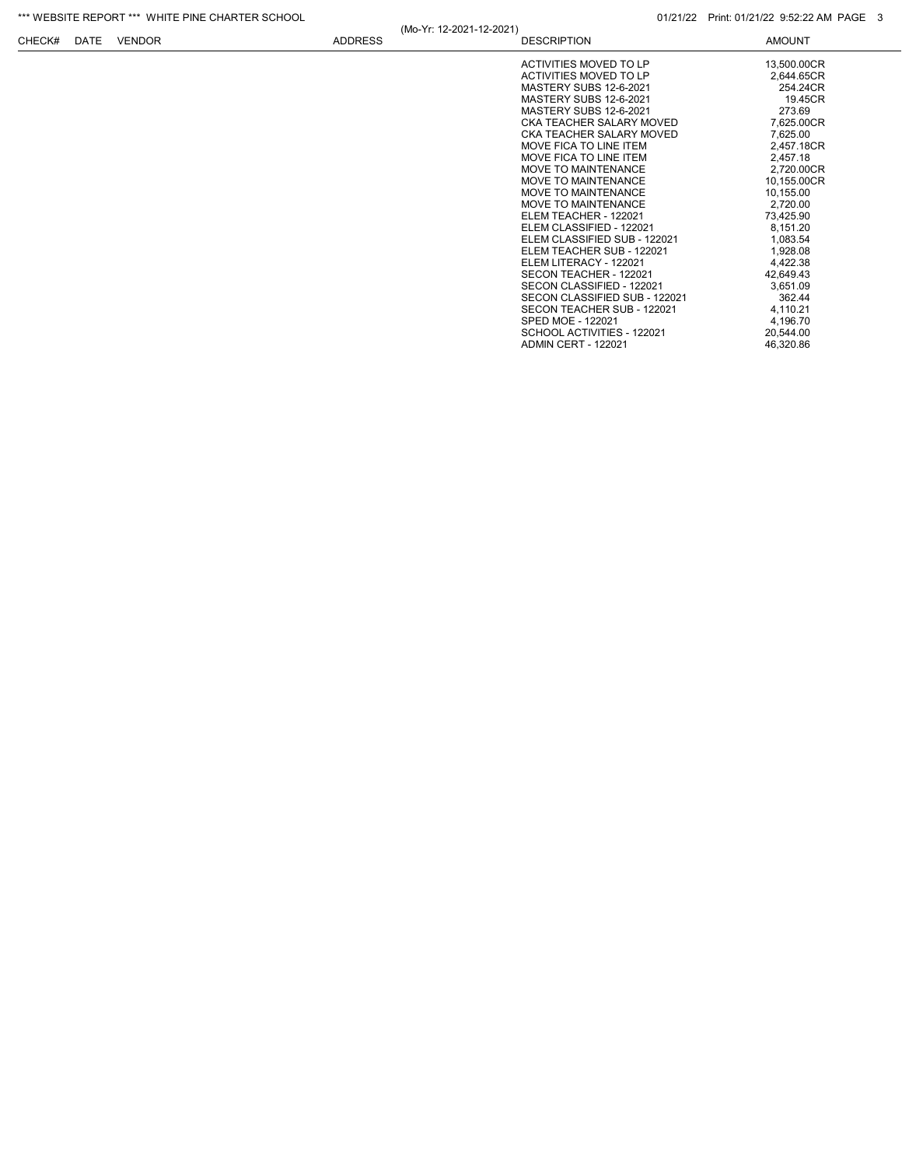| *** WEBSITE REPORT *** WHITE PINE CHARTER SCHOOL |      |               |                |                          | 01/21/22 Print: 01/21/22 9:52:22 AM PAGE 3                                                                                                                                                                                                                                                                                                                                                                                                                                                                                                                                                                                                                                                |                                                                                                                                                                                                                                                                                                                        |
|--------------------------------------------------|------|---------------|----------------|--------------------------|-------------------------------------------------------------------------------------------------------------------------------------------------------------------------------------------------------------------------------------------------------------------------------------------------------------------------------------------------------------------------------------------------------------------------------------------------------------------------------------------------------------------------------------------------------------------------------------------------------------------------------------------------------------------------------------------|------------------------------------------------------------------------------------------------------------------------------------------------------------------------------------------------------------------------------------------------------------------------------------------------------------------------|
| CHECK#                                           | DATE | <b>VENDOR</b> | <b>ADDRESS</b> | (Mo-Yr: 12-2021-12-2021) | <b>DESCRIPTION</b>                                                                                                                                                                                                                                                                                                                                                                                                                                                                                                                                                                                                                                                                        | <b>AMOUNT</b>                                                                                                                                                                                                                                                                                                          |
|                                                  |      |               |                |                          | ACTIVITIES MOVED TO LP<br>ACTIVITIES MOVED TO LP<br>MASTERY SUBS 12-6-2021<br>MASTERY SUBS 12-6-2021<br>MASTERY SUBS 12-6-2021<br>CKA TEACHER SALARY MOVED<br>CKA TEACHER SALARY MOVED<br>MOVE FICA TO LINE ITEM<br>MOVE FICA TO LINE ITEM<br>MOVE TO MAINTENANCE<br>MOVE TO MAINTENANCE<br>MOVE TO MAINTENANCE<br>MOVE TO MAINTENANCE<br>ELEM TEACHER - 122021<br>ELEM CLASSIFIED - 122021<br>ELEM CLASSIFIED SUB - 122021<br>ELEM TEACHER SUB - 122021<br>ELEM LITERACY - 122021<br>SECON TEACHER - 122021<br>SECON CLASSIFIED - 122021<br>SECON CLASSIFIED SUB - 122021<br>SECON TEACHER SUB - 122021<br>SPED MOE - 122021<br>SCHOOL ACTIVITIES - 122021<br><b>ADMIN CERT - 122021</b> | 13,500.00CR<br>2.644.65CR<br>254.24CR<br>19.45CR<br>273.69<br>7,625.00CR<br>7,625.00<br>2,457.18CR<br>2,457.18<br>2,720.00CR<br>10,155.00CR<br>10,155.00<br>2,720.00<br>73,425.90<br>8,151.20<br>1,083.54<br>1,928.08<br>4,422.38<br>42.649.43<br>3.651.09<br>362.44<br>4,110.21<br>4,196.70<br>20,544.00<br>46,320.86 |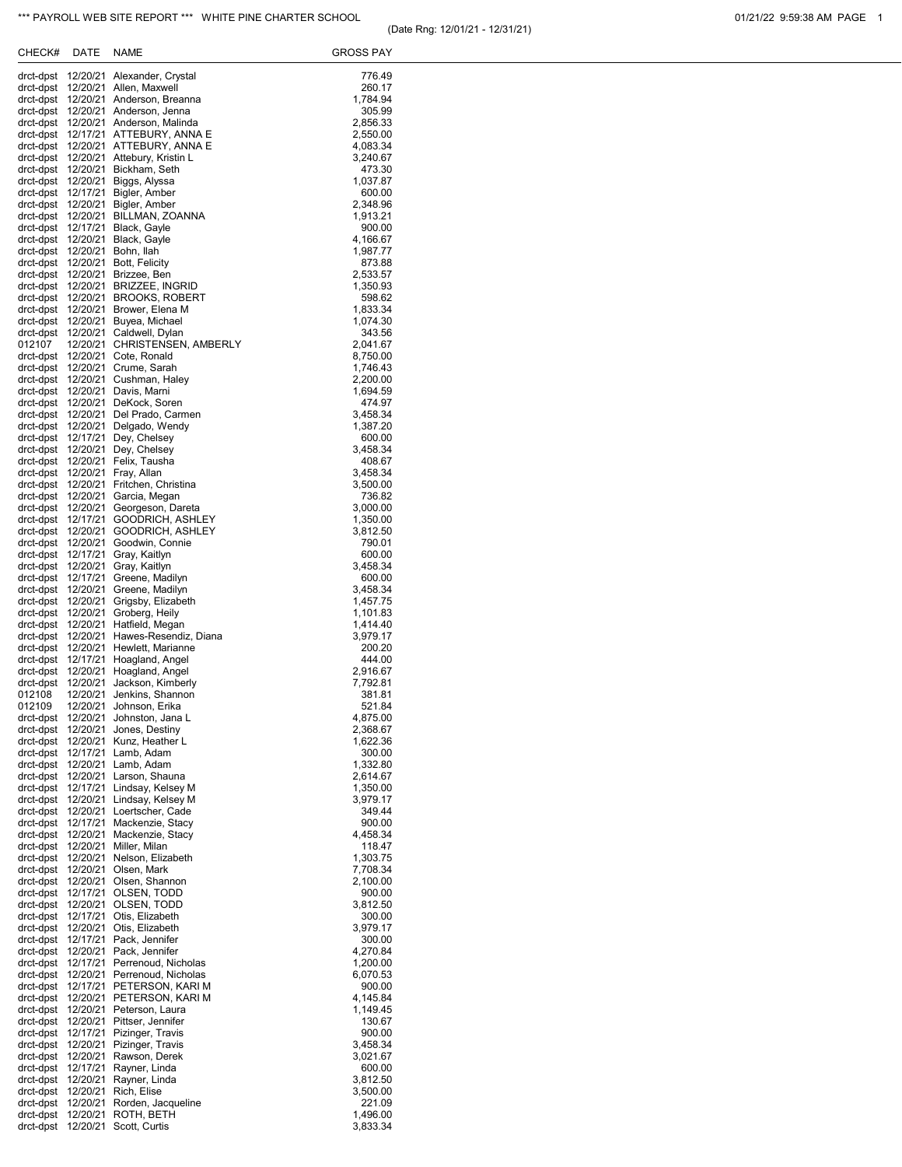| 01/21/22 9:59:38 AM PAGE |  |  |  |  |
|--------------------------|--|--|--|--|
|--------------------------|--|--|--|--|

| CHECK#                                   | DATE                 | NAME                                                                       | GROSS PAY            |
|------------------------------------------|----------------------|----------------------------------------------------------------------------|----------------------|
| drct-dpst                                | 12/20/21             | Alexander, Crystal                                                         | 776.49               |
| drct-dpst                                |                      | 12/20/21 Allen, Maxwell                                                    | 260.17               |
|                                          |                      | drct-dpst 12/20/21 Anderson, Breanna<br>drct-dpst 12/20/21 Anderson, Jenna | 1,784.94<br>305.99   |
| drct-dpst                                |                      | 12/20/21 Anderson, Malinda                                                 | 2,856.33             |
| drct-dpst                                |                      | 12/17/21 ATTEBURY, ANNA E                                                  | 2,550.00             |
| drct-dpst                                |                      | drct-dpst 12/20/21 ATTEBURY, ANNA E<br>12/20/21 Attebury, Kristin L        | 4,083.34<br>3,240.67 |
| drct-dpst 12/20/21                       |                      | Bickham, Seth                                                              | 473.30               |
|                                          |                      | drct-dpst 12/20/21 Biggs, Alyssa                                           | 1,037.87             |
| drct-dpst                                | 12/17/21             | Bigler, Amber<br>drct-dpst 12/20/21 Bigler, Amber                          | 600.00<br>2,348.96   |
|                                          |                      | drct-dpst 12/20/21 BILLMAN, ZOANNA                                         | 1,913.21             |
| drct-dpst                                | 12/17/21             | Black, Gayle                                                               | 900.00               |
| drct-dpst 12/20/21<br>drct-dpst 12/20/21 |                      | Black, Gayle<br>Bohn, Ilah                                                 | 4,166.67<br>1,987.77 |
| drct-dpst                                | 12/20/21             | Bott, Felicity                                                             | 873.88               |
| drct-dpst                                |                      | 12/20/21 Brizzee, Ben                                                      | 2,533.57             |
| drct-dpst                                | 12/20/21             | drct-dpst 12/20/21 BRIZZEE, INGRID<br><b>BROOKS, ROBERT</b>                | 1,350.93<br>598.62   |
| drct-dpst                                |                      | 12/20/21 Brower, Elena M                                                   | 1,833.34             |
|                                          |                      | drct-dpst 12/20/21 Buyea, Michael                                          | 1,074.30             |
| drct-dpst<br>012107                      | 12/20/21             | Caldwell, Dylan<br>12/20/21 CHRISTENSEN, AMBERLY                           | 343.56<br>2,041.67   |
| drct-dpst                                |                      | 12/20/21 Cote, Ronald                                                      | 8,750.00             |
| drct-dpst                                |                      | 12/20/21 Crume, Sarah                                                      | 1,746.43             |
| drct-dpst                                |                      | 12/20/21 Cushman, Haley<br>drct-dpst 12/20/21 Davis, Marni                 | 2,200.00<br>1,694.59 |
|                                          |                      | drct-dpst 12/20/21 DeKock, Soren                                           | 474.97               |
| drct-dpst                                |                      | 12/20/21 Del Prado, Carmen                                                 | 3,458.34             |
| drct-dpst 12/20/21<br>drct-dpst 12/17/21 |                      | Delgado, Wendy<br>Dey, Chelsey                                             | 1,387.20<br>600.00   |
| drct-dpst                                | 12/20/21             | Dey, Chelsey                                                               | 3,458.34             |
| drct-dpst 12/20/21                       |                      | Felix, Tausha                                                              | 408.67               |
| drct-dpst                                | 12/20/21             | drct-dpst 12/20/21 Fray, Allan<br>Fritchen, Christina                      | 3,458.34<br>3,500.00 |
| drct-dpst                                | 12/20/21             | Garcia, Megan                                                              | 736.82               |
| drct-dpst 12/20/21                       |                      | Georgeson, Dareta                                                          | 3,000.00             |
| drct-dpst<br>drct-dpst                   | 12/17/21<br>12/20/21 | GOODRICH, ASHLEY<br>GOODRICH, ASHLEY                                       | 1,350.00<br>3,812.50 |
| drct-dpst                                | 12/20/21             | Goodwin, Connie                                                            | 790.01               |
| drct-dpst                                | 12/17/21             | Gray, Kaitlyn                                                              | 600.00               |
| drct-dpst<br>drct-dpst                   | 12/20/21<br>12/17/21 | Gray, Kaitlyn<br>Greene, Madilyn                                           | 3,458.34<br>600.00   |
| drct-dpst                                | 12/20/21             | Greene, Madilyn                                                            | 3,458.34             |
| drct-dpst                                | 12/20/21             | Grigsby, Elizabeth                                                         | 1,457.75             |
| drct-dpst<br>drct-dpst                   | 12/20/21<br>12/20/21 | Groberg, Heily<br>Hatfield, Megan                                          | 1,101.83<br>1,414.40 |
| drct-dpst                                | 12/20/21             | Hawes-Resendiz, Diana                                                      | 3,979.17             |
| drct-dpst                                | 12/20/21             | Hewlett, Marianne                                                          | 200.20               |
| drct-dpst<br>drct-dpst                   | 12/17/21<br>12/20/21 | Hoagland, Angel<br>Hoagland, Angel                                         | 444.00<br>2,916.67   |
| drct-dpst                                | 12/20/21             | Jackson, Kimberly                                                          | 7,792.81             |
| 012108                                   | 12/20/21             | Jenkins, Shannon                                                           | 381.81               |
| 012109<br>drct-dpst                      | 12/20/21<br>12/20/21 | Johnson, Erika<br>Johnston, Jana L                                         | 521.84<br>4,875.00   |
| drct-dpst                                | 12/20/21             | Jones, Destiny                                                             | 2,368.67             |
| drct-dpst                                | 12/20/21             | Kunz, Heather L                                                            | 1,622.36             |
| drct-dpst<br>drct-dpst                   | 12/17/21<br>12/20/21 | Lamb, Adam<br>Lamb, Adam                                                   | 300.00<br>1,332.80   |
| drct-dpst                                | 12/20/21             | Larson, Shauna                                                             | 2,614.67             |
| drct-dpst                                | 12/17/21             | Lindsay, Kelsey M                                                          | 1,350.00             |
| drct-dpst<br>drct-dpst                   | 12/20/21<br>12/20/21 | Lindsay, Kelsey M<br>Loertscher, Cade                                      | 3,979.17<br>349.44   |
| drct-dpst                                | 12/17/21             | Mackenzie, Stacy                                                           | 900.00               |
| drct-dpst<br>drct-dpst                   | 12/20/21<br>12/20/21 | Mackenzie, Stacy<br>Miller, Milan                                          | 4,458.34<br>118.47   |
| drct-dpst                                | 12/20/21             | Nelson, Elizabeth                                                          | 1,303.75             |
| drct-dpst                                | 12/20/21             | Olsen, Mark                                                                | 7,708.34             |
| drct-dpst<br>drct-dpst                   | 12/20/21<br>12/17/21 | Olsen, Shannon<br>OLSEN, TODD                                              | 2,100.00<br>900.00   |
| drct-dpst                                | 12/20/21             | OLSEN, TODD                                                                | 3,812.50             |
| drct-dpst                                | 12/17/21             | Otis, Elizabeth                                                            | 300.00               |
| drct-dpst<br>drct-dpst                   | 12/20/21<br>12/17/21 | Otis, Elizabeth<br>Pack, Jennifer                                          | 3,979.17<br>300.00   |
| drct-dpst                                | 12/20/21             | Pack, Jennifer                                                             | 4,270.84             |
| drct-dpst                                | 12/17/21             | Perrenoud, Nicholas                                                        | 1,200.00             |
| drct-dpst<br>drct-dpst                   | 12/20/21<br>12/17/21 | Perrenoud, Nicholas<br>PETERSON, KARI M                                    | 6,070.53<br>900.00   |
| drct-dpst                                | 12/20/21             | PETERSON, KARI M                                                           | 4,145.84             |
| drct-dpst                                | 12/20/21             | Peterson, Laura                                                            | 1,149.45             |
| drct-dpst<br>drct-dpst                   | 12/20/21<br>12/17/21 | Pittser, Jennifer<br>Pizinger, Travis                                      | 130.67<br>900.00     |
| drct-dpst                                | 12/20/21             | Pizinger, Travis                                                           | 3,458.34             |
| drct-dpst                                | 12/20/21             | Rawson, Derek                                                              | 3,021.67             |
| drct-dpst<br>drct-dpst                   | 12/17/21<br>12/20/21 | Rayner, Linda<br>Rayner, Linda                                             | 600.00<br>3,812.50   |
| drct-dpst                                | 12/20/21             | Rich, Elise                                                                | 3,500.00             |
| drct-dpst                                | 12/20/21             | Rorden, Jacqueline                                                         | 221.09               |
| drct-dpst<br>drct-dpst                   | 12/20/21<br>12/20/21 | ROTH, BETH<br>Scott, Curtis                                                | 1,496.00<br>3,833.34 |
|                                          |                      |                                                                            |                      |